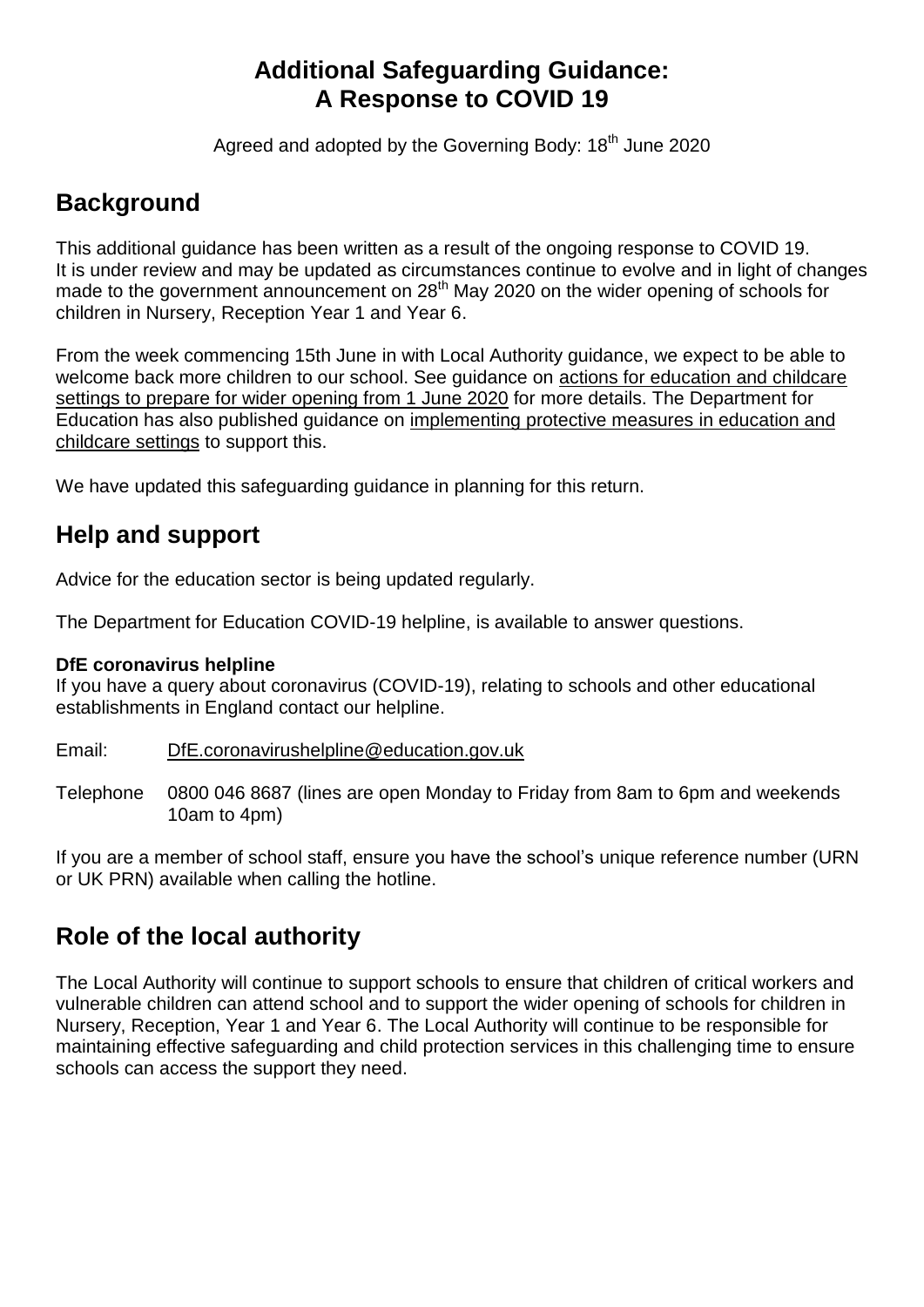## **Additional Safeguarding Guidance: A Response to COVID 19**

Agreed and adopted by the Governing Body: 18<sup>th</sup> June 2020

## **Background**

This additional guidance has been written as a result of the ongoing response to COVID 19. It is under review and may be updated as circumstances continue to evolve and in light of changes made to the government announcement on 28<sup>th</sup> May 2020 on the wider opening of schools for children in Nursery, Reception Year 1 and Year 6.

From the week commencing 15th June in with Local Authority guidance, we expect to be able to welcome back more children to our school. See guidance on actions for [education](https://www.gov.uk/government/publications/actions-for-educational-and-childcare-settings-to-prepare-for-wider-opening-from-1-june-2020/actions-for-education-and-childcare-settings-to-prepare-for-wider-opening-from-1-june-2020) and childcare settings to prepare for wider [opening](https://www.gov.uk/government/publications/actions-for-educational-and-childcare-settings-to-prepare-for-wider-opening-from-1-june-2020/actions-for-education-and-childcare-settings-to-prepare-for-wider-opening-from-1-june-2020) from 1 June 2020 for more details. The Department for Education has also published guidance on [implementing](https://www.gov.uk/government/publications/coronavirus-covid-19-implementing-protective-measures-in-education-and-childcare-settings) protective measures in education and [childcare](https://www.gov.uk/government/publications/coronavirus-covid-19-implementing-protective-measures-in-education-and-childcare-settings) settings to support this.

We have updated this safeguarding guidance in planning for this return.

## **Help and support**

[Advice for the education sector](https://www.gov.uk/government/collections/coronavirus-covid-19-guidance-for-schools-and-other-educational-settings) is being updated regularly.

The Department for Education COVID-19 helpline, is available to answer questions.

#### **DfE coronavirus helpline**

If you have a query about coronavirus (COVID-19), relating to schools and other educational establishments in England contact our helpline.

#### Email: [DfE.coronavirushelpline@education.gov.uk](mailto:DfE.coronavirushelpline@education.gov.uk)

Telephone 0800 046 8687 (lines are open Monday to Friday from 8am to 6pm and weekends 10am to 4pm)

If you are a member of school staff, ensure you have the school's unique reference number (URN or UK PRN) available when calling the hotline.

## **Role of the local authority**

The Local Authority will continue to support schools to ensure that children of critical workers and vulnerable children can attend school and to support the wider opening of schools for children in Nursery, Reception, Year 1 and Year 6. The Local Authority will continue to be responsible for maintaining effective safeguarding and child protection services in this challenging time to ensure schools can access the support they need.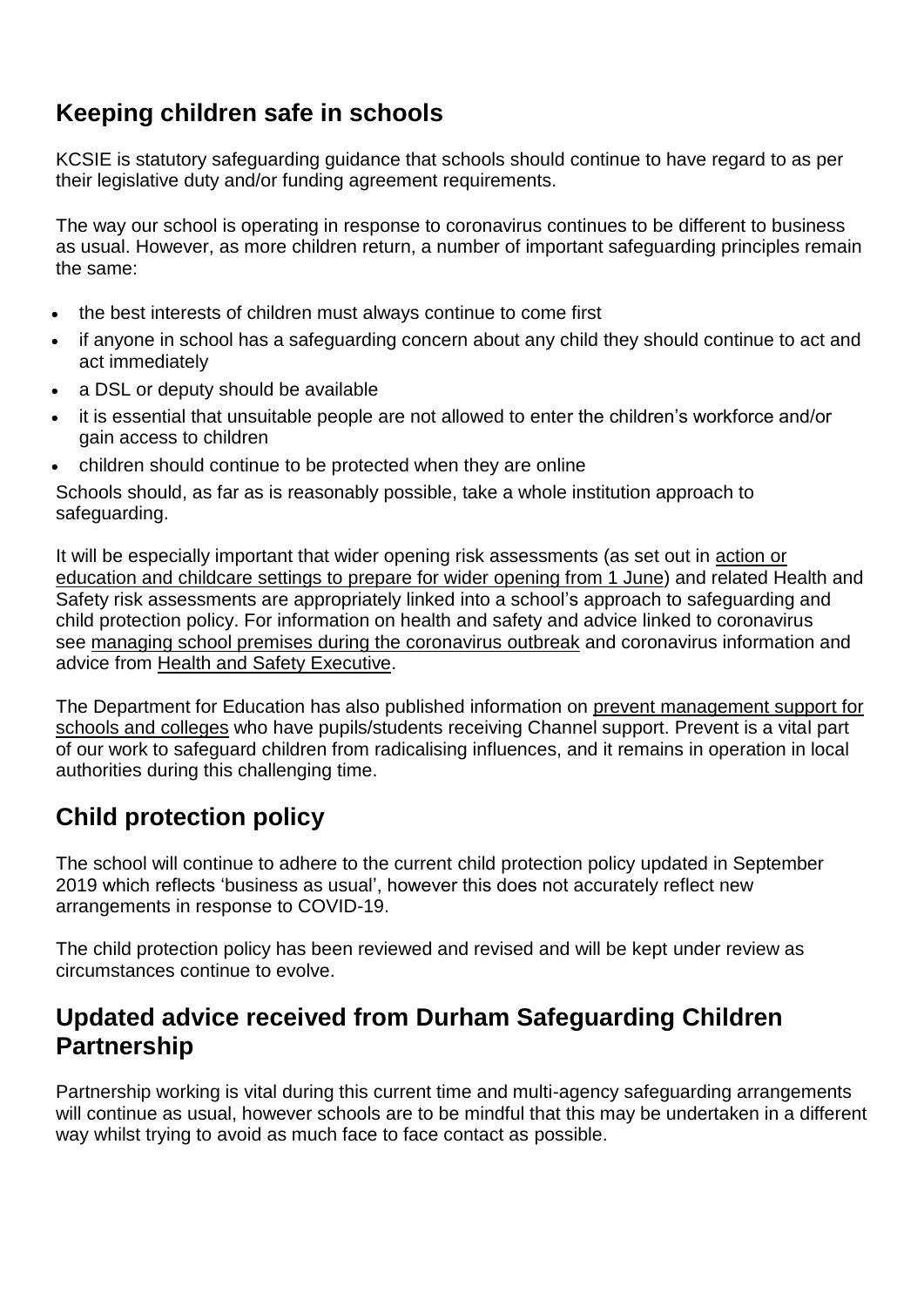# **Keeping children safe in schools**

KCSIE is statutory safeguarding guidance that schools should continue to have regard to as per their legislative duty and/or funding agreement requirements.

The way our school is operating in response to coronavirus continues to be different to business as usual. However, as more children return, a number of important safeguarding principles remain the same:

- the best interests of children must always continue to come first
- if anyone in school has a safeguarding concern about any child they should continue to act and act immediately
- a DSL or deputy should be available
- it is essential that unsuitable people are not allowed to enter the children's workforce and/or gain access to children
- children should continue to be protected when they are online

Schools should, as far as is reasonably possible, take a whole institution approach to safeguarding.

It will be especially important that wider opening risk assessments (as set out in [action](https://www.gov.uk/government/publications/actions-for-educational-and-childcare-settings-to-prepare-for-wider-opening-from-1-june-2020/actions-for-education-and-childcare-settings-to-prepare-for-wider-opening-from-1-june-2020) or [education](https://www.gov.uk/government/publications/actions-for-educational-and-childcare-settings-to-prepare-for-wider-opening-from-1-june-2020/actions-for-education-and-childcare-settings-to-prepare-for-wider-opening-from-1-june-2020) and childcare settings to prepare for wider opening from 1 June) and related Health and Safety risk assessments are appropriately linked into a school's approach to safeguarding and child protection policy. For information on health and safety and advice linked to coronavirus see managing school premises during the [coronavirus](https://www.gov.uk/government/publications/managing-school-premises-during-the-coronavirus-outbreak/managing-school-premises-which-are-partially-open-during-the-coronavirus-outbreak) outbreak and coronavirus information and advice from Health and Safety [Executive.](https://www.hse.gov.uk/news/coronavirus.htm)

The Department for Education has also published information on prevent [management](https://educateagainsthate.com/blog/posts/school-closures-ongoing-prevent-management-support/) support for schools and [colleges](https://educateagainsthate.com/blog/posts/school-closures-ongoing-prevent-management-support/) who have pupils/students receiving Channel support. Prevent is a vital part of our work to safeguard children from radicalising influences, and it remains in operation in local authorities during this challenging time.

# **Child protection policy**

The school will continue to adhere to the current child protection policy updated in September 2019 which reflects 'business as usual', however this does not accurately reflect new arrangements in response to COVID-19.

The child protection policy has been reviewed and revised and will be kept under review as circumstances continue to evolve.

## **Updated advice received from Durham Safeguarding Children Partnership**

Partnership working is vital during this current time and multi-agency safeguarding arrangements will continue as usual, however schools are to be mindful that this may be undertaken in a different way whilst trying to avoid as much face to face contact as possible.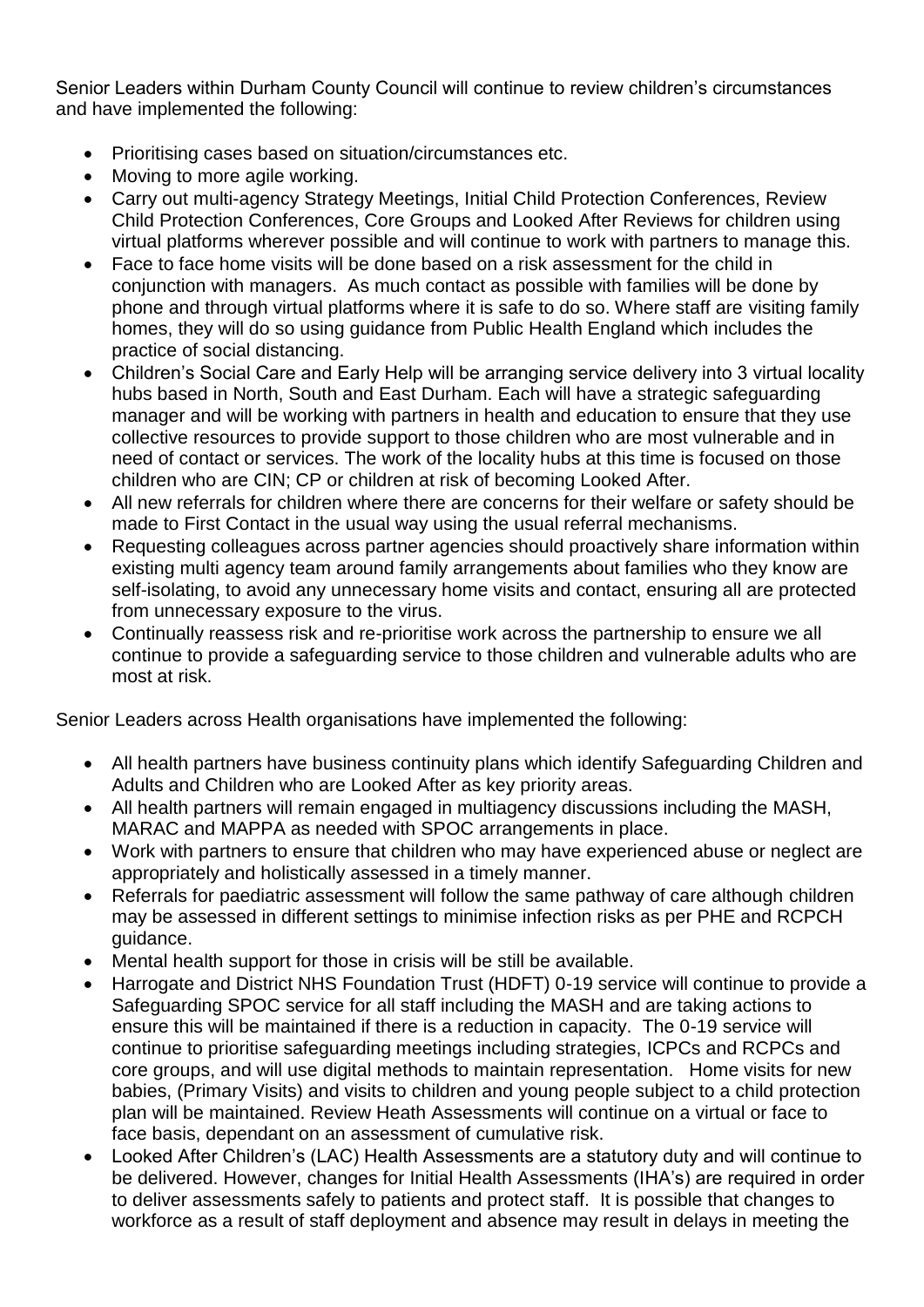Senior Leaders within Durham County Council will continue to review children's circumstances and have implemented the following:

- Prioritising cases based on situation/circumstances etc.
- Moving to more agile working.
- Carry out multi-agency Strategy Meetings, Initial Child Protection Conferences, Review Child Protection Conferences, Core Groups and Looked After Reviews for children using virtual platforms wherever possible and will continue to work with partners to manage this.
- Face to face home visits will be done based on a risk assessment for the child in conjunction with managers. As much contact as possible with families will be done by phone and through virtual platforms where it is safe to do so. Where staff are visiting family homes, they will do so using guidance from Public Health England which includes the practice of social distancing.
- Children's Social Care and Early Help will be arranging service delivery into 3 virtual locality hubs based in North, South and East Durham. Each will have a strategic safeguarding manager and will be working with partners in health and education to ensure that they use collective resources to provide support to those children who are most vulnerable and in need of contact or services. The work of the locality hubs at this time is focused on those children who are CIN; CP or children at risk of becoming Looked After.
- All new referrals for children where there are concerns for their welfare or safety should be made to First Contact in the usual way using the usual referral mechanisms.
- Requesting colleagues across partner agencies should proactively share information within existing multi agency team around family arrangements about families who they know are self-isolating, to avoid any unnecessary home visits and contact, ensuring all are protected from unnecessary exposure to the virus.
- Continually reassess risk and re-prioritise work across the partnership to ensure we all continue to provide a safeguarding service to those children and vulnerable adults who are most at risk.

Senior Leaders across Health organisations have implemented the following:

- All health partners have business continuity plans which identify Safeguarding Children and Adults and Children who are Looked After as key priority areas.
- All health partners will remain engaged in multiagency discussions including the MASH, MARAC and MAPPA as needed with SPOC arrangements in place.
- Work with partners to ensure that children who may have experienced abuse or neglect are appropriately and holistically assessed in a timely manner.
- Referrals for paediatric assessment will follow the same pathway of care although children may be assessed in different settings to minimise infection risks as per PHE and RCPCH guidance.
- Mental health support for those in crisis will be still be available.
- Harrogate and District NHS Foundation Trust (HDFT) 0-19 service will continue to provide a Safeguarding SPOC service for all staff including the MASH and are taking actions to ensure this will be maintained if there is a reduction in capacity. The 0-19 service will continue to prioritise safeguarding meetings including strategies, ICPCs and RCPCs and core groups, and will use digital methods to maintain representation. Home visits for new babies, (Primary Visits) and visits to children and young people subject to a child protection plan will be maintained. Review Heath Assessments will continue on a virtual or face to face basis, dependant on an assessment of cumulative risk.
- Looked After Children's (LAC) Health Assessments are a statutory duty and will continue to be delivered. However, changes for Initial Health Assessments (IHA's) are required in order to deliver assessments safely to patients and protect staff. It is possible that changes to workforce as a result of staff deployment and absence may result in delays in meeting the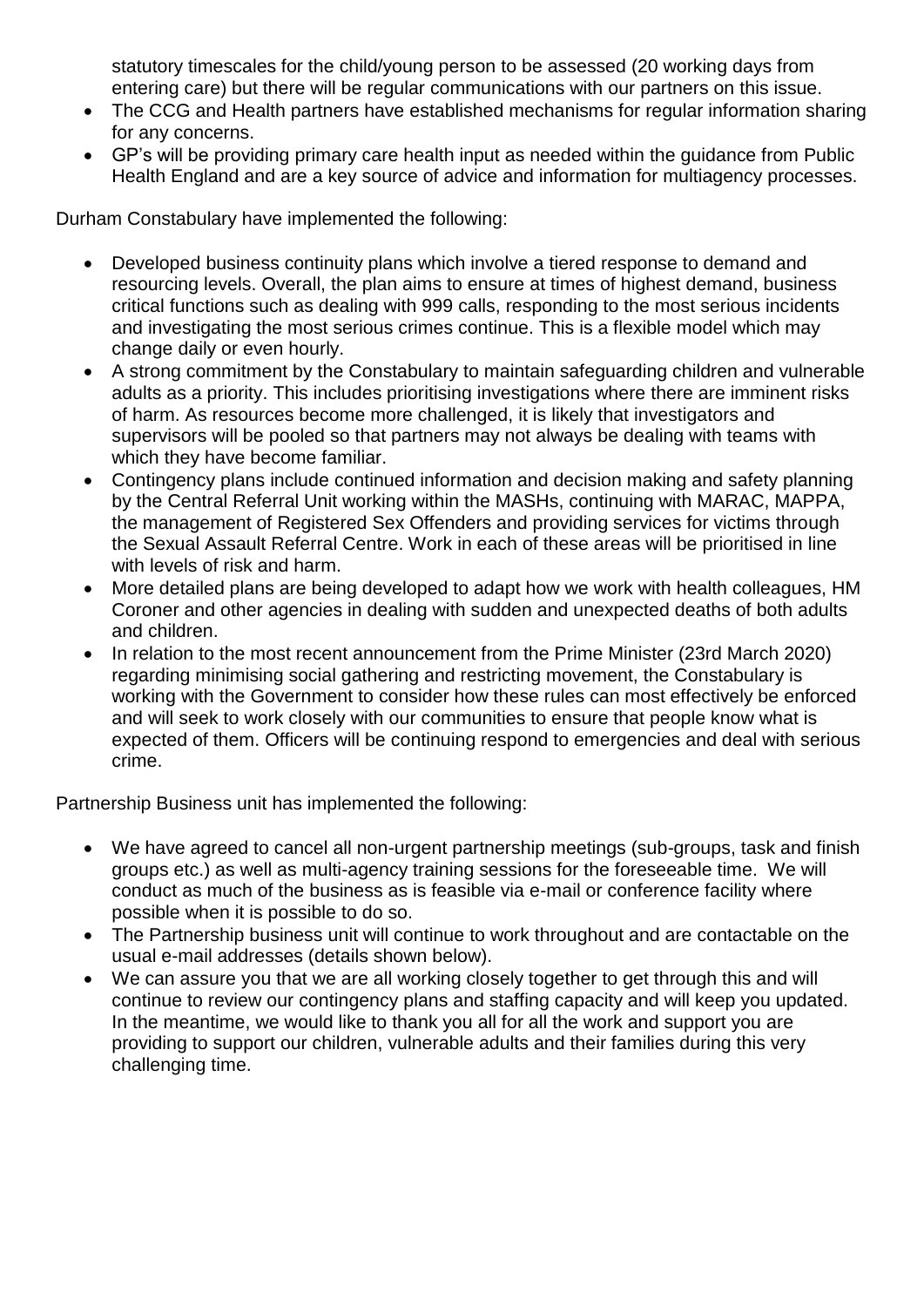statutory timescales for the child/young person to be assessed (20 working days from entering care) but there will be regular communications with our partners on this issue.

- The CCG and Health partners have established mechanisms for regular information sharing for any concerns.
- GP's will be providing primary care health input as needed within the guidance from Public Health England and are a key source of advice and information for multiagency processes.

Durham Constabulary have implemented the following:

- Developed business continuity plans which involve a tiered response to demand and resourcing levels. Overall, the plan aims to ensure at times of highest demand, business critical functions such as dealing with 999 calls, responding to the most serious incidents and investigating the most serious crimes continue. This is a flexible model which may change daily or even hourly.
- A strong commitment by the Constabulary to maintain safeguarding children and vulnerable adults as a priority. This includes prioritising investigations where there are imminent risks of harm. As resources become more challenged, it is likely that investigators and supervisors will be pooled so that partners may not always be dealing with teams with which they have become familiar.
- Contingency plans include continued information and decision making and safety planning by the Central Referral Unit working within the MASHs, continuing with MARAC, MAPPA, the management of Registered Sex Offenders and providing services for victims through the Sexual Assault Referral Centre. Work in each of these areas will be prioritised in line with levels of risk and harm.
- More detailed plans are being developed to adapt how we work with health colleagues, HM Coroner and other agencies in dealing with sudden and unexpected deaths of both adults and children.
- In relation to the most recent announcement from the Prime Minister (23rd March 2020) regarding minimising social gathering and restricting movement, the Constabulary is working with the Government to consider how these rules can most effectively be enforced and will seek to work closely with our communities to ensure that people know what is expected of them. Officers will be continuing respond to emergencies and deal with serious crime.

Partnership Business unit has implemented the following:

- We have agreed to cancel all non-urgent partnership meetings (sub-groups, task and finish groups etc.) as well as multi-agency training sessions for the foreseeable time. We will conduct as much of the business as is feasible via e-mail or conference facility where possible when it is possible to do so.
- The Partnership business unit will continue to work throughout and are contactable on the usual e-mail addresses (details shown below).
- We can assure you that we are all working closely together to get through this and will continue to review our contingency plans and staffing capacity and will keep you updated. In the meantime, we would like to thank you all for all the work and support you are providing to support our children, vulnerable adults and their families during this very challenging time.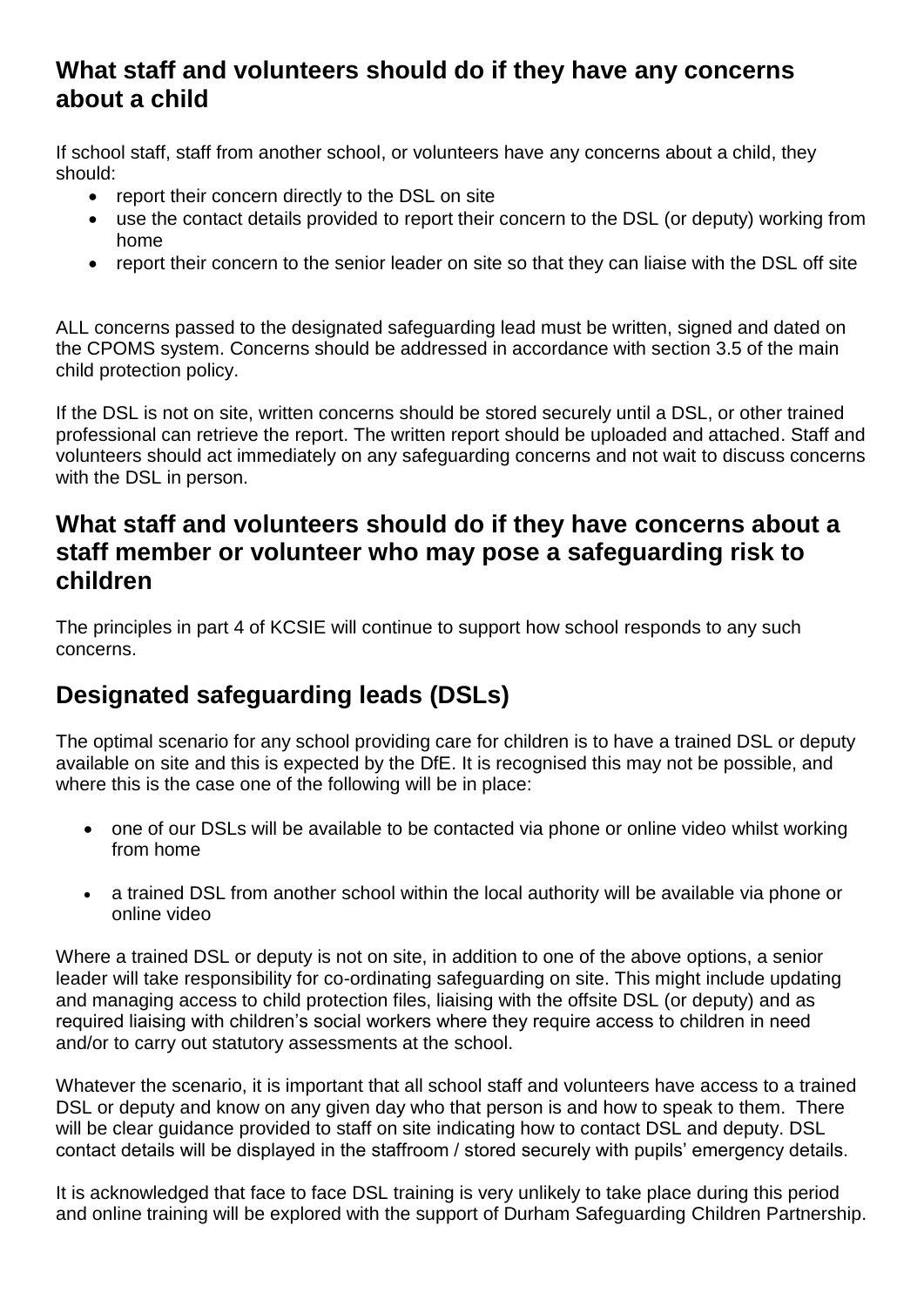#### **What staff and volunteers should do if they have any concerns about a child**

If school staff, staff from another school, or volunteers have any concerns about a child, they should:

- report their concern directly to the DSL on site
- use the contact details provided to report their concern to the DSL (or deputy) working from home
- report their concern to the senior leader on site so that they can liaise with the DSL off site

ALL concerns passed to the designated safeguarding lead must be written, signed and dated on the CPOMS system. Concerns should be addressed in accordance with section 3.5 of the main child protection policy.

If the DSL is not on site, written concerns should be stored securely until a DSL, or other trained professional can retrieve the report. The written report should be uploaded and attached. Staff and volunteers should act immediately on any safeguarding concerns and not wait to discuss concerns with the DSL in person.

#### **What staff and volunteers should do if they have concerns about a staff member or volunteer who may pose a safeguarding risk to children**

The principles in part 4 of KCSIE will continue to support how school responds to any such concerns.

# **Designated safeguarding leads (DSLs)**

The optimal scenario for any school providing care for children is to have a trained DSL or deputy available on site and this is expected by the DfE. It is recognised this may not be possible, and where this is the case one of the following will be in place:

- one of our DSLs will be available to be contacted via phone or online video whilst working from home
- a trained DSL from another school within the local authority will be available via phone or online video

Where a trained DSL or deputy is not on site, in addition to one of the above options, a senior leader will take responsibility for co-ordinating safeguarding on site. This might include updating and managing access to child protection files, liaising with the offsite DSL (or deputy) and as required liaising with children's social workers where they require access to children in need and/or to carry out statutory assessments at the school.

Whatever the scenario, it is important that all school staff and volunteers have access to a trained DSL or deputy and know on any given day who that person is and how to speak to them. There will be clear guidance provided to staff on site indicating how to contact DSL and deputy. DSL contact details will be displayed in the staffroom / stored securely with pupils' emergency details.

It is acknowledged that face to face DSL training is very unlikely to take place during this period and online training will be explored with the support of Durham Safeguarding Children Partnership.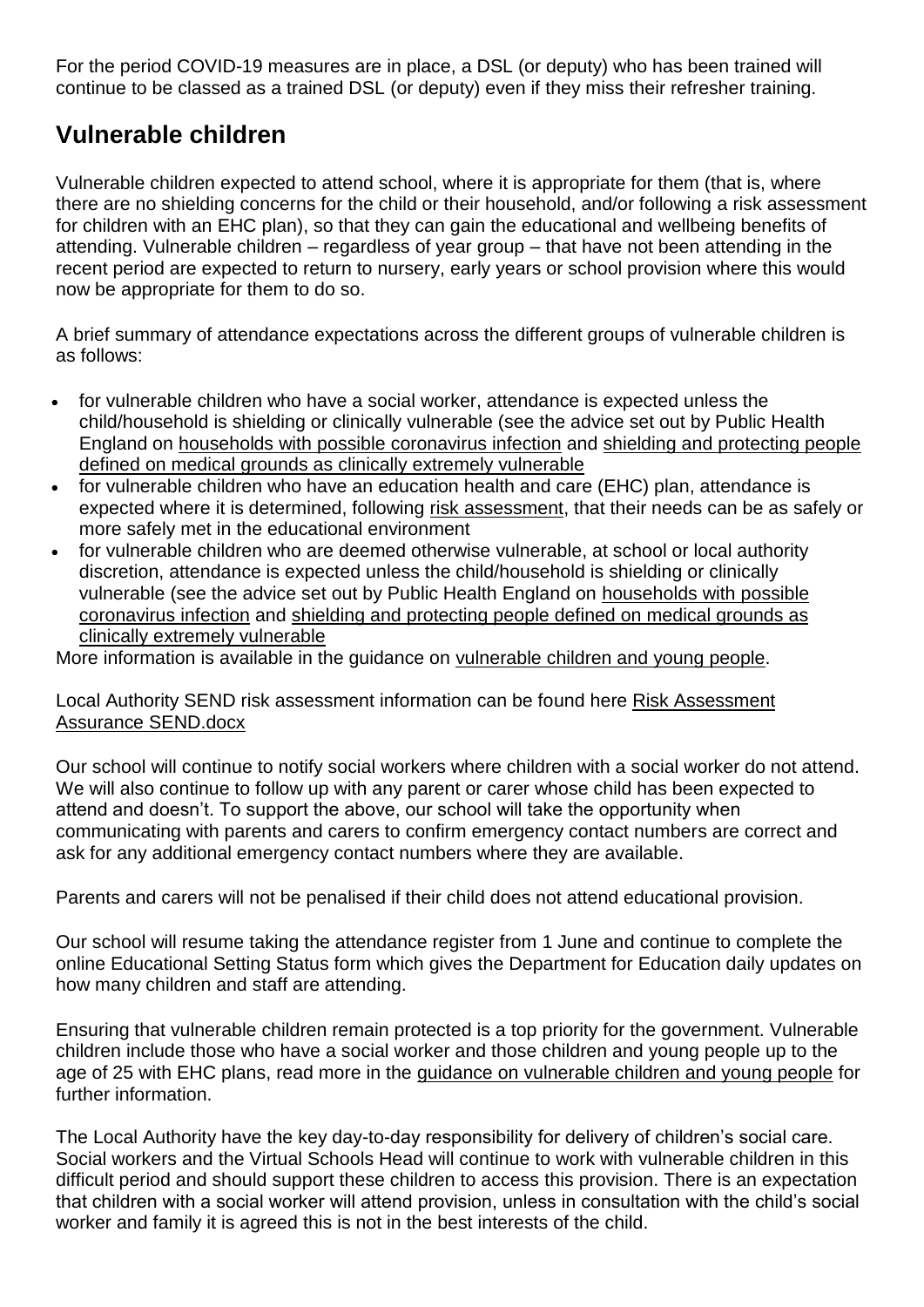For the period COVID-19 measures are in place, a DSL (or deputy) who has been trained will continue to be classed as a trained DSL (or deputy) even if they miss their refresher training.

## **Vulnerable children**

Vulnerable children expected to attend school, where it is appropriate for them (that is, where there are no shielding concerns for the child or their household, and/or following a risk assessment for children with an EHC plan), so that they can gain the educational and wellbeing benefits of attending. Vulnerable children – regardless of year group – that have not been attending in the recent period are expected to return to nursery, early years or school provision where this would now be appropriate for them to do so.

A brief summary of attendance expectations across the different groups of vulnerable children is as follows:

- for vulnerable children who have a social worker, attendance is expected unless the child/household is shielding or clinically vulnerable (see the advice set out by Public Health England on households with possible [coronavirus](https://www.gov.uk/government/publications/covid-19-stay-at-home-guidance) infection and shielding and [protecting](https://www.gov.uk/government/publications/guidance-on-shielding-and-protecting-extremely-vulnerable-persons-from-covid-19) people defined on medical grounds as clinically extremely [vulnerable](https://www.gov.uk/government/publications/guidance-on-shielding-and-protecting-extremely-vulnerable-persons-from-covid-19)
- for vulnerable children who have an education health and care (EHC) plan, attendance is expected where it is determined, following risk [assessment,](https://www.gov.uk/government/publications/coronavirus-covid-19-send-risk-assessment-guidance/coronavirus-covid-19-send-risk-assessment-guidance) that their needs can be as safely or more safely met in the educational environment
- for vulnerable children who are deemed otherwise vulnerable, at school or local authority discretion, attendance is expected unless the child/household is shielding or clinically vulnerable (see the advice set out by Public Health England on [households](https://www.gov.uk/government/publications/covid-19-stay-at-home-guidance) with possible [coronavirus](https://www.gov.uk/government/publications/covid-19-stay-at-home-guidance) infection and shielding and [protecting](https://www.gov.uk/government/publications/guidance-on-shielding-and-protecting-extremely-vulnerable-persons-from-covid-19) people defined on medical grounds as clinically extremely [vulnerable](https://www.gov.uk/government/publications/guidance-on-shielding-and-protecting-extremely-vulnerable-persons-from-covid-19)

More information is available in the guidance on [vulnerable](https://www.gov.uk/government/publications/coronavirus-covid-19-guidance-on-vulnerable-children-and-young-people) children and young people.

Local Authority SEND risk assessment information can be found here [Risk Assessment](file:///C:/Users/angela.vear/Documents/Documentation/Risk%20Assessment%20Assurance%20SEND.docx)  [Assurance SEND.docx](file:///C:/Users/angela.vear/Documents/Documentation/Risk%20Assessment%20Assurance%20SEND.docx)

Our school will continue to notify social workers where children with a social worker do not attend. We will also continue to follow up with any parent or carer whose child has been expected to attend and doesn't. To support the above, our school will take the opportunity when communicating with parents and carers to confirm emergency contact numbers are correct and ask for any additional emergency contact numbers where they are available.

Parents and carers will not be penalised if their child does not attend educational provision.

Our school will resume taking the attendance register from 1 June and continue to complete the online Educational Setting Status form which gives the Department for Education daily updates on how many children and staff are attending.

Ensuring that vulnerable children remain protected is a top priority for the government. Vulnerable children include those who have a social worker and those children and young people up to the age of 25 with EHC plans, read more in the [guidance on vulnerable children and young people](https://www.gov.uk/government/publications/coronavirus-covid-19-guidance-on-vulnerable-children-and-young-people/coronavirus-covid-19-guidance-on-vulnerable-children-and-young-people) for further information.

The Local Authority have the key day-to-day responsibility for delivery of children's social care. Social workers and the Virtual Schools Head will continue to work with vulnerable children in this difficult period and should support these children to access this provision. There is an expectation that children with a social worker will attend provision, unless in consultation with the child's social worker and family it is agreed this is not in the best interests of the child.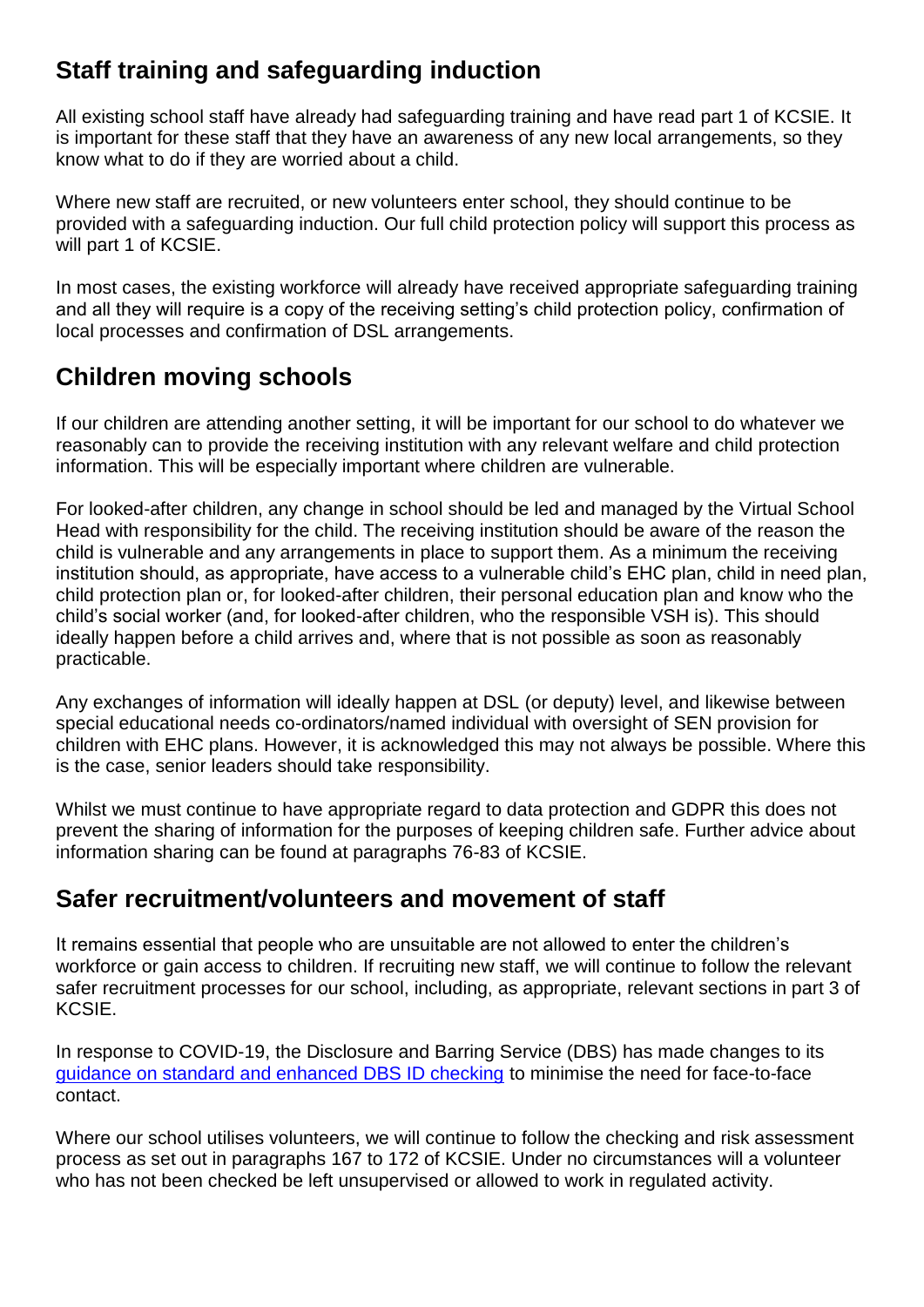# **Staff training and safeguarding induction**

All existing school staff have already had safeguarding training and have read part 1 of KCSIE. It is important for these staff that they have an awareness of any new local arrangements, so they know what to do if they are worried about a child.

Where new staff are recruited, or new volunteers enter school, they should continue to be provided with a safeguarding induction. Our full child protection policy will support this process as will part 1 of KCSIE.

In most cases, the existing workforce will already have received appropriate safeguarding training and all they will require is a copy of the receiving setting's child protection policy, confirmation of local processes and confirmation of DSL arrangements.

# **Children moving schools**

If our children are attending another setting, it will be important for our school to do whatever we reasonably can to provide the receiving institution with any relevant welfare and child protection information. This will be especially important where children are vulnerable.

For looked-after children, any change in school should be led and managed by the Virtual School Head with responsibility for the child. The receiving institution should be aware of the reason the child is vulnerable and any arrangements in place to support them. As a minimum the receiving institution should, as appropriate, have access to a vulnerable child's EHC plan, child in need plan, child protection plan or, for looked-after children, their personal education plan and know who the child's social worker (and, for looked-after children, who the responsible VSH is). This should ideally happen before a child arrives and, where that is not possible as soon as reasonably practicable.

Any exchanges of information will ideally happen at DSL (or deputy) level, and likewise between special educational needs co-ordinators/named individual with oversight of SEN provision for children with EHC plans. However, it is acknowledged this may not always be possible. Where this is the case, senior leaders should take responsibility.

Whilst we must continue to have appropriate regard to data protection and GDPR this does not prevent the sharing of information for the purposes of keeping children safe. Further advice about information sharing can be found at paragraphs 76-83 of KCSIE.

# **Safer recruitment/volunteers and movement of staff**

It remains essential that people who are unsuitable are not allowed to enter the children's workforce or gain access to children. If recruiting new staff, we will continue to follow the relevant safer recruitment processes for our school, including, as appropriate, relevant sections in part 3 of KCSIE.

In response to COVID-19, the Disclosure and Barring Service (DBS) has made changes to its [guidance on standard and enhanced DBS ID checking](https://www.gov.uk/government/news/covid-19-changes-to-standard-and-enhanced-id-checking-guidelines) to minimise the need for face-to-face contact.

Where our school utilises volunteers, we will continue to follow the checking and risk assessment process as set out in paragraphs 167 to 172 of KCSIE. Under no circumstances will a volunteer who has not been checked be left unsupervised or allowed to work in regulated activity.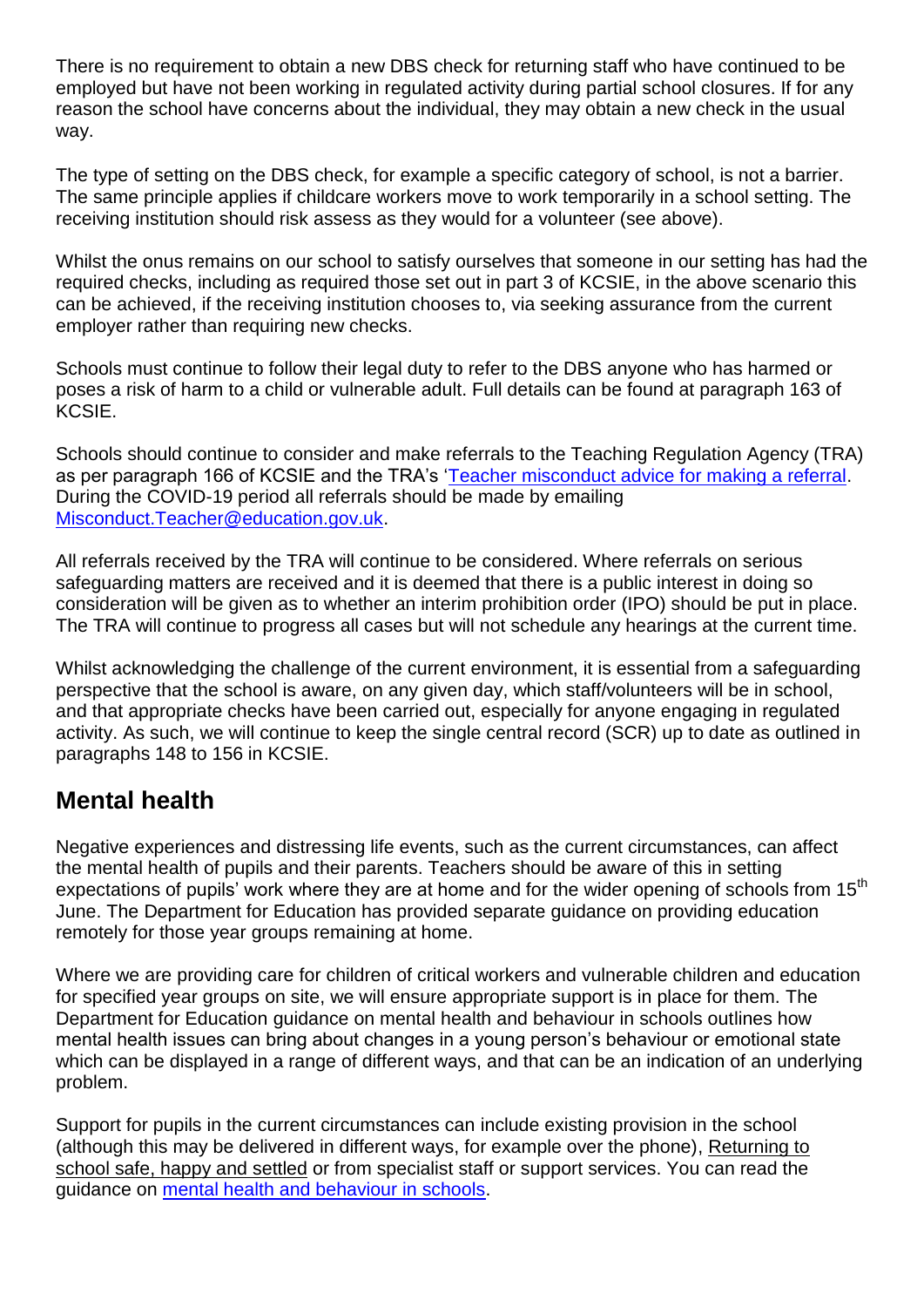There is no requirement to obtain a new DBS check for returning staff who have continued to be employed but have not been working in regulated activity during partial school closures. If for any reason the school have concerns about the individual, they may obtain a new check in the usual way.

The type of setting on the DBS check, for example a specific category of school, is not a barrier. The same principle applies if childcare workers move to work temporarily in a school setting. The receiving institution should risk assess as they would for a volunteer (see above).

Whilst the onus remains on our school to satisfy ourselves that someone in our setting has had the required checks, including as required those set out in part 3 of KCSIE, in the above scenario this can be achieved, if the receiving institution chooses to, via seeking assurance from the current employer rather than requiring new checks.

Schools must continue to follow their legal duty to refer to the DBS anyone who has harmed or poses a risk of harm to a child or vulnerable adult. Full details can be found at paragraph 163 of KCSIE.

Schools should continue to consider and make referrals to the Teaching Regulation Agency (TRA) as per paragraph 166 of KCSIE and the TRA's ['Teacher misconduct advice for making a referral.](https://www.gov.uk/guidance/teacher-misconduct-referring-a-case) During the COVID-19 period all referrals should be made by emailing [Misconduct.Teacher@education.gov.uk.](mailto:Misconduct.Teacher@education.gov.uk)

All referrals received by the TRA will continue to be considered. Where referrals on serious safeguarding matters are received and it is deemed that there is a public interest in doing so consideration will be given as to whether an interim prohibition order (IPO) should be put in place. The TRA will continue to progress all cases but will not schedule any hearings at the current time.

Whilst acknowledging the challenge of the current environment, it is essential from a safeguarding perspective that the school is aware, on any given day, which staff/volunteers will be in school, and that appropriate checks have been carried out, especially for anyone engaging in regulated activity. As such, we will continue to keep the single central record (SCR) up to date as outlined in paragraphs 148 to 156 in KCSIE.

#### **Mental health**

Negative experiences and distressing life events, such as the current circumstances, can affect the mental health of pupils and their parents. Teachers should be aware of this in setting expectations of pupils' work where they are at home and for the wider opening of schools from  $15<sup>th</sup>$ June. The Department for Education has provided separate guidance on providing education remotely for those year groups remaining at home.

Where we are providing care for children of critical workers and vulnerable children and education for specified year groups on site, we will ensure appropriate support is in place for them. The Department for Education guidance on mental health and behaviour in schools outlines how mental health issues can bring about changes in a young person's behaviour or emotional state which can be displayed in a range of different ways, and that can be an indication of an underlying problem.

Support for pupils in the current circumstances can include existing provision in the school (although this may be delivered in different ways, for example over the phone), [Returning to](https://drive.google.com/drive/folders/1bIL5cKQHoSiiJNM0fLP4eO63NAQOfpXl?usp=sharing)  [school safe, happy and settled](https://drive.google.com/drive/folders/1bIL5cKQHoSiiJNM0fLP4eO63NAQOfpXl?usp=sharing) or from specialist staff or support services. You can read the guidance on [mental health and behaviour in schools.](https://www.gov.uk/government/publications/mental-health-and-behaviour-in-schools--2)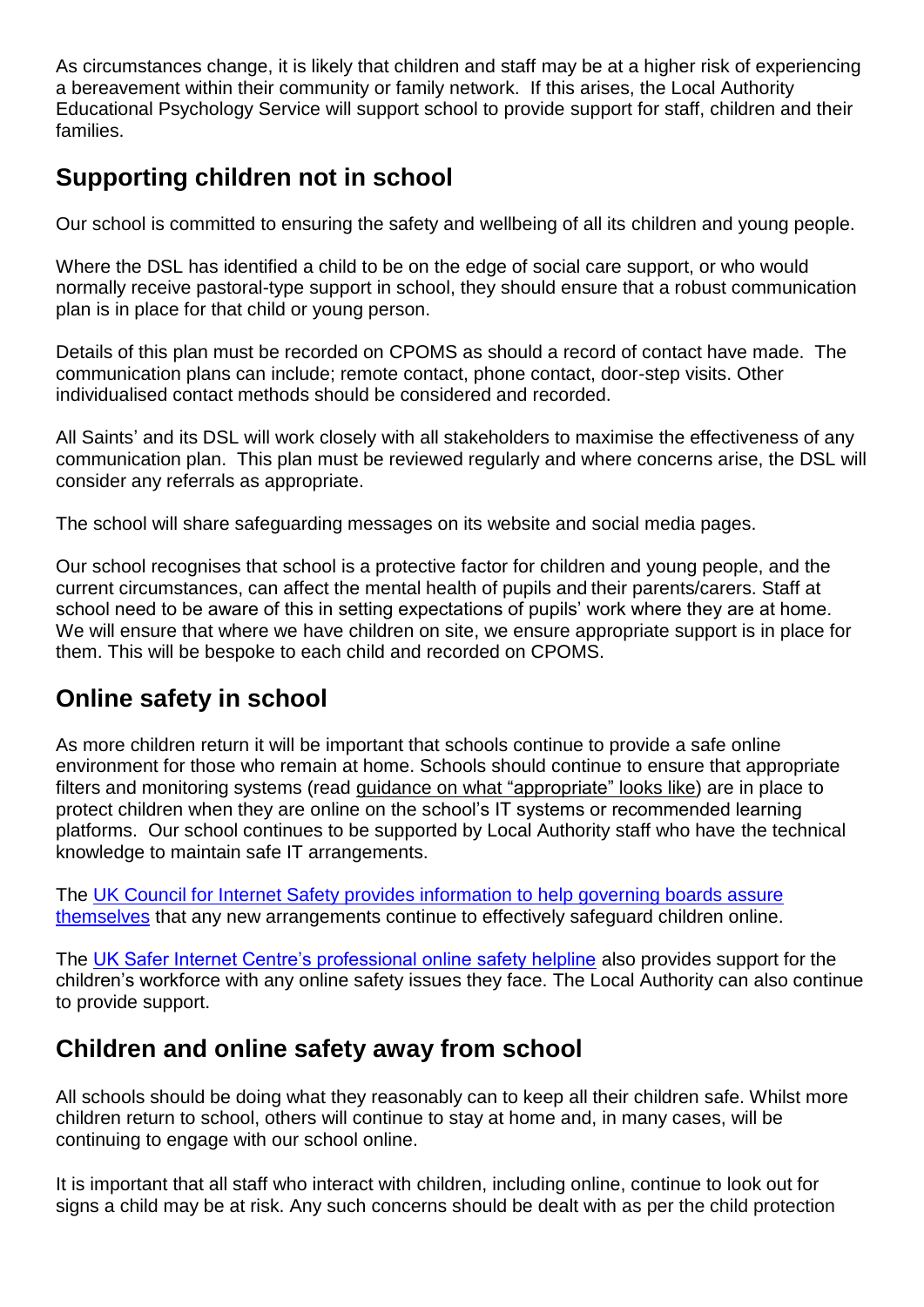As circumstances change, it is likely that children and staff may be at a higher risk of experiencing a bereavement within their community or family network. If this arises, the Local Authority Educational Psychology Service will support school to provide support for staff, children and their families.

# **Supporting children not in school**

Our school is committed to ensuring the safety and wellbeing of all its children and young people.

Where the DSL has identified a child to be on the edge of social care support, or who would normally receive pastoral-type support in school, they should ensure that a robust communication plan is in place for that child or young person.

Details of this plan must be recorded on CPOMS as should a record of contact have made. The communication plans can include; remote contact, phone contact, door-step visits. Other individualised contact methods should be considered and recorded.

All Saints' and its DSL will work closely with all stakeholders to maximise the effectiveness of any communication plan. This plan must be reviewed regularly and where concerns arise, the DSL will consider any referrals as appropriate.

The school will share safeguarding messages on its website and social media pages.

Our school recognises that school is a protective factor for children and young people, and the current circumstances, can affect the mental health of pupils and their parents/carers. Staff at school need to be aware of this in setting expectations of pupils' work where they are at home. We will ensure that where we have children on site, we ensure appropriate support is in place for them. This will be bespoke to each child and recorded on CPOMS.

# **Online safety in school**

As more children return it will be important that schools continue to provide a safe online environment for those who remain at home. Schools should continue to ensure that appropriate filters and monitoring systems (read guidance on what ["appropriate"](https://www.saferinternet.org.uk/advice-centre/teachers-and-school-staff/appropriate-filtering-and-monitoring) looks like) are in place to protect children when they are online on the school's IT systems or recommended learning platforms. Our school continues to be supported by Local Authority staff who have the technical knowledge to maintain safe IT arrangements.

The [UK Council for Internet Safety provides information to help governing boards assure](https://www.gov.uk/government/publications/online-safety-in-schools-and-colleges-questions-from-the-governing-board)  [themselves](https://www.gov.uk/government/publications/online-safety-in-schools-and-colleges-questions-from-the-governing-board) that any new arrangements continue to effectively safeguard children online.

The [UK Safer Internet Centre's professional online safety helpline](https://www.saferinternet.org.uk/helpline/professionals-online-safety-helpline) also provides support for the children's workforce with any online safety issues they face. The Local Authority can also continue to provide support.

## **Children and online safety away from school**

All schools should be doing what they reasonably can to keep all their children safe. Whilst more children return to school, others will continue to stay at home and, in many cases, will be continuing to engage with our school online.

It is important that all staff who interact with children, including online, continue to look out for signs a child may be at risk. Any such concerns should be dealt with as per the child protection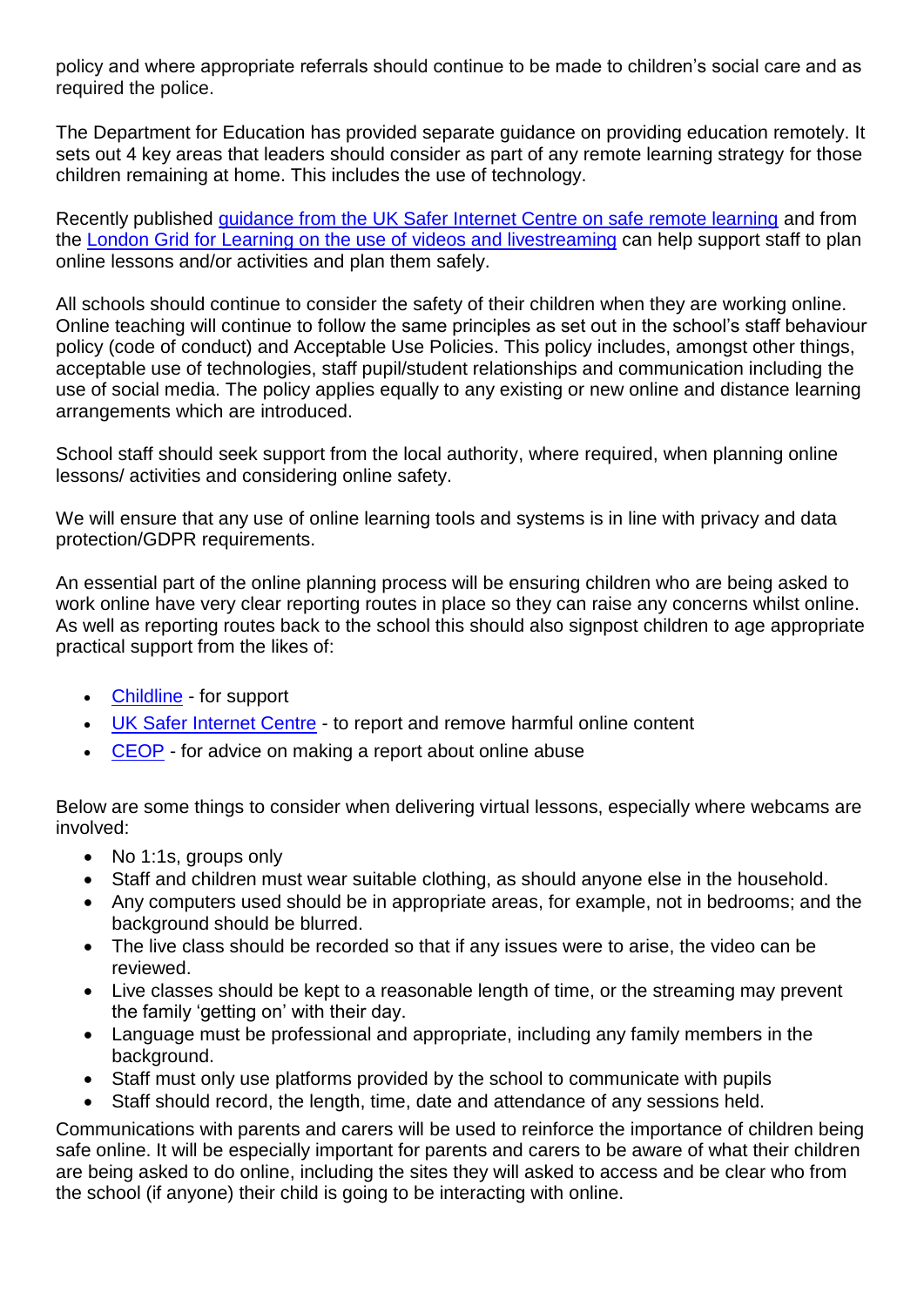policy and where appropriate referrals should continue to be made to children's social care and as required the police.

The Department for Education has provided separate guidance on providing education remotely. It sets out 4 key areas that leaders should consider as part of any remote learning strategy for those children remaining at home. This includes the use of technology.

Recently published [guidance from the UK Safer Internet Centre on safe remote learning](https://swgfl.org.uk/resources/safe-remote-learning/) and from the [London Grid for Learning on the use of](https://static.lgfl.net/LgflNet/downloads/digisafe/Safe-Lessons-by-Video-and-Livestream.pdf) videos and livestreaming can help support staff to plan online lessons and/or activities and plan them safely.

All schools should continue to consider the safety of their children when they are working online. Online teaching will continue to follow the same principles as set out in the school's staff behaviour policy (code of conduct) and Acceptable Use Policies. This policy includes, amongst other things, acceptable use of technologies, staff pupil/student relationships and communication including the use of social media. The policy applies equally to any existing or new online and distance learning arrangements which are introduced.

School staff should seek support from the local authority, where required, when planning online lessons/ activities and considering online safety.

We will ensure that any use of online learning tools and systems is in line with privacy and data protection/GDPR requirements.

An essential part of the online planning process will be ensuring children who are being asked to work online have very clear reporting routes in place so they can raise any concerns whilst online. As well as reporting routes back to the school this should also signpost children to age appropriate practical support from the likes of:

- [Childline](https://www.childline.org.uk/?utm_source=google&utm_medium=cpc&utm_campaign=UK_GO_S_B_BND_Grant_Childline_Information&utm_term=role_of_childline&gclsrc=aw.ds&&gclid=EAIaIQobChMIlfLRh-ez6AIVRrDtCh1N9QR2EAAYASAAEgLc-vD_BwE&gclsrc=aw.ds) for support
- [UK Safer Internet Centre](https://reportharmfulcontent.com/) to report and remove harmful online content
- [CEOP](https://www.ceop.police.uk/safety-centre/) for advice on making a report about online abuse

Below are some things to consider when delivering virtual lessons, especially where webcams are involved:

- No 1:1s, groups only
- Staff and children must wear suitable clothing, as should anyone else in the household.
- Any computers used should be in appropriate areas, for example, not in bedrooms; and the background should be blurred.
- The live class should be recorded so that if any issues were to arise, the video can be reviewed.
- Live classes should be kept to a reasonable length of time, or the streaming may prevent the family 'getting on' with their day.
- Language must be professional and appropriate, including any family members in the background.
- Staff must only use platforms provided by the school to communicate with pupils
- Staff should record, the length, time, date and attendance of any sessions held.

Communications with parents and carers will be used to reinforce the importance of children being safe online. It will be especially important for parents and carers to be aware of what their children are being asked to do online, including the sites they will asked to access and be clear who from the school (if anyone) their child is going to be interacting with online.